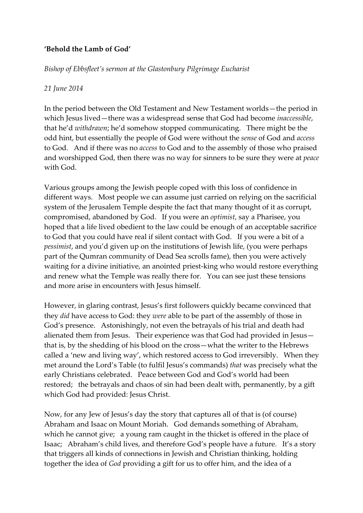## **'Behold the Lamb of God'**

*Bishop of Ebbsfleet's sermon at the Glastonbury Pilgrimage Eucharist*

## *21 June 2014*

In the period between the Old Testament and New Testament worlds—the period in which Jesus lived—there was a widespread sense that God had become *inaccessible*, that he'd *withdrawn*; he'd somehow stopped communicating. There might be the odd hint, but essentially the people of God were without the *sense* of God and *access* to God. And if there was no *access* to God and to the assembly of those who praised and worshipped God, then there was no way for sinners to be sure they were at *peace* with God.

Various groups among the Jewish people coped with this loss of confidence in different ways. Most people we can assume just carried on relying on the sacrificial system of the Jerusalem Temple despite the fact that many thought of it as corrupt, compromised, abandoned by God. If you were an *optimist*, say a Pharisee, you hoped that a life lived obedient to the law could be enough of an acceptable sacrifice to God that you could have real if silent contact with God. If you were a bit of a *pessimist*, and you'd given up on the institutions of Jewish life, (you were perhaps part of the Qumran community of Dead Sea scrolls fame), then you were actively waiting for a divine initiative, an anointed priest-king who would restore everything and renew what the Temple was really there for. You can see just these tensions and more arise in encounters with Jesus himself.

However, in glaring contrast, Jesus's first followers quickly became convinced that they *did* have access to God: they *were* able to be part of the assembly of those in God's presence. Astonishingly, not even the betrayals of his trial and death had alienated them from Jesus. Their experience was that God had provided in Jesus that is, by the shedding of his blood on the cross—what the writer to the Hebrews called a 'new and living way', which restored access to God irreversibly. When they met around the Lord's Table (to fulfil Jesus's commands) *that* was precisely what the early Christians celebrated. Peace between God and God's world had been restored; the betrayals and chaos of sin had been dealt with, permanently, by a gift which God had provided: Jesus Christ.

Now, for any Jew of Jesus's day the story that captures all of that is (of course) Abraham and Isaac on Mount Moriah. God demands something of Abraham, which he cannot give; a young ram caught in the thicket is offered in the place of Isaac; Abraham's child lives, and therefore God's people have a future. It's a story that triggers all kinds of connections in Jewish and Christian thinking, holding together the idea of *God* providing a gift for us to offer him, and the idea of a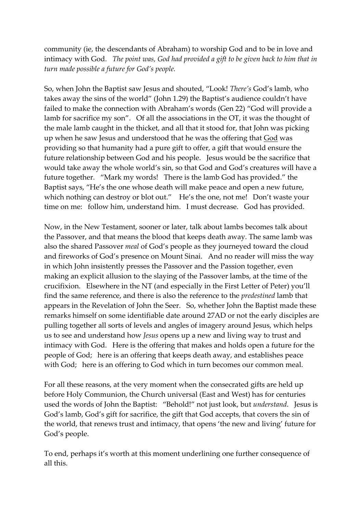community (ie, the descendants of Abraham) to worship God and to be in love and intimacy with God. *The point was, God had provided a gift to be given back to him that in turn made possible a future for God's people.*

So, when John the Baptist saw Jesus and shouted, "Look! *There's* God's lamb, who takes away the sins of the world" (John 1.29) the Baptist's audience couldn't have failed to make the connection with Abraham's words (Gen 22) "God will provide a lamb for sacrifice my son". Of all the associations in the OT, it was the thought of the male lamb caught in the thicket, and all that it stood for, that John was picking up when he saw Jesus and understood that he was the offering that God was providing so that humanity had a pure gift to offer, a gift that would ensure the future relationship between God and his people. Jesus would be the sacrifice that would take away the whole world's sin, so that God and God's creatures will have a future together. "Mark my words! There is the lamb God has provided." the Baptist says, "He's the one whose death will make peace and open a new future, which nothing can destroy or blot out." He's the one, not me! Don't waste your time on me: follow him, understand him. I must decrease. God has provided.

Now, in the New Testament, sooner or later, talk about lambs becomes talk about the Passover, and that means the blood that keeps death away. The same lamb was also the shared Passover *meal* of God's people as they journeyed toward the cloud and fireworks of God's presence on Mount Sinai. And no reader will miss the way in which John insistently presses the Passover and the Passion together, even making an explicit allusion to the slaying of the Passover lambs, at the time of the crucifixion. Elsewhere in the NT (and especially in the First Letter of Peter) you'll find the same reference, and there is also the reference to the *predestined* lamb that appears in the Revelation of John the Seer. So, whether John the Baptist made these remarks himself on some identifiable date around 27AD or not the early disciples are pulling together all sorts of levels and angles of imagery around Jesus, which helps us to see and understand how *Jesus* opens up a new and living way to trust and intimacy with God. Here is the offering that makes and holds open a future for the people of God; here is an offering that keeps death away, and establishes peace with God; here is an offering to God which in turn becomes our common meal.

For all these reasons, at the very moment when the consecrated gifts are held up before Holy Communion, the Church universal (East and West) has for centuries used the words of John the Baptist: "Behold!" not just look, but *understand*. Jesus is God's lamb, God's gift for sacrifice, the gift that God accepts, that covers the sin of the world, that renews trust and intimacy, that opens 'the new and living' future for God's people.

To end, perhaps it's worth at this moment underlining one further consequence of all this.